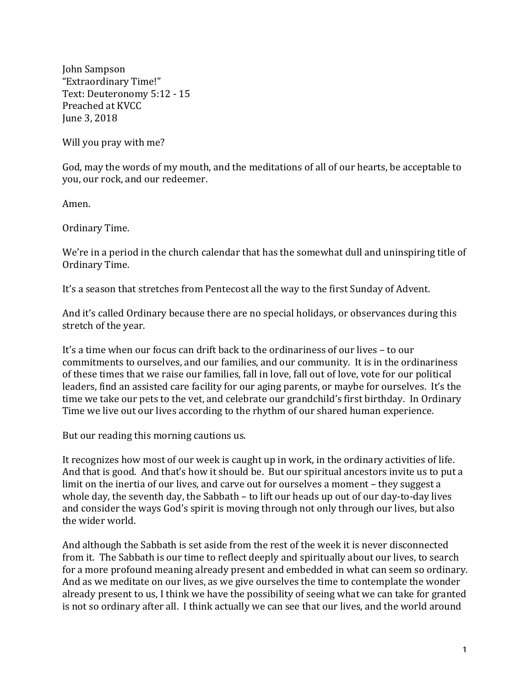John Sampson "Extraordinary Time!" Text: Deuteronomy 5:12 - 15 Preached at KVCC June 3, 2018

Will you pray with me?

God, may the words of my mouth, and the meditations of all of our hearts, be acceptable to you, our rock, and our redeemer.

Amen.

Ordinary Time.

We're in a period in the church calendar that has the somewhat dull and uninspiring title of Ordinary Time.

It's a season that stretches from Pentecost all the way to the first Sunday of Advent.

And it's called Ordinary because there are no special holidays, or observances during this stretch of the year.

It's a time when our focus can drift back to the ordinariness of our lives – to our commitments to ourselves, and our families, and our community. It is in the ordinariness of these times that we raise our families, fall in love, fall out of love, vote for our political leaders, find an assisted care facility for our aging parents, or maybe for ourselves. It's the time we take our pets to the vet, and celebrate our grandchild's first birthday. In Ordinary Time we live out our lives according to the rhythm of our shared human experience.

But our reading this morning cautions us.

It recognizes how most of our week is caught up in work, in the ordinary activities of life. And that is good. And that's how it should be. But our spiritual ancestors invite us to put a limit on the inertia of our lives, and carve out for ourselves a moment – they suggest a whole day, the seventh day, the Sabbath  $-$  to lift our heads up out of our day-to-day lives and consider the ways God's spirit is moving through not only through our lives, but also the wider world.

And although the Sabbath is set aside from the rest of the week it is never disconnected from it. The Sabbath is our time to reflect deeply and spiritually about our lives, to search for a more profound meaning already present and embedded in what can seem so ordinary. And as we meditate on our lives, as we give ourselves the time to contemplate the wonder already present to us, I think we have the possibility of seeing what we can take for granted is not so ordinary after all. I think actually we can see that our lives, and the world around